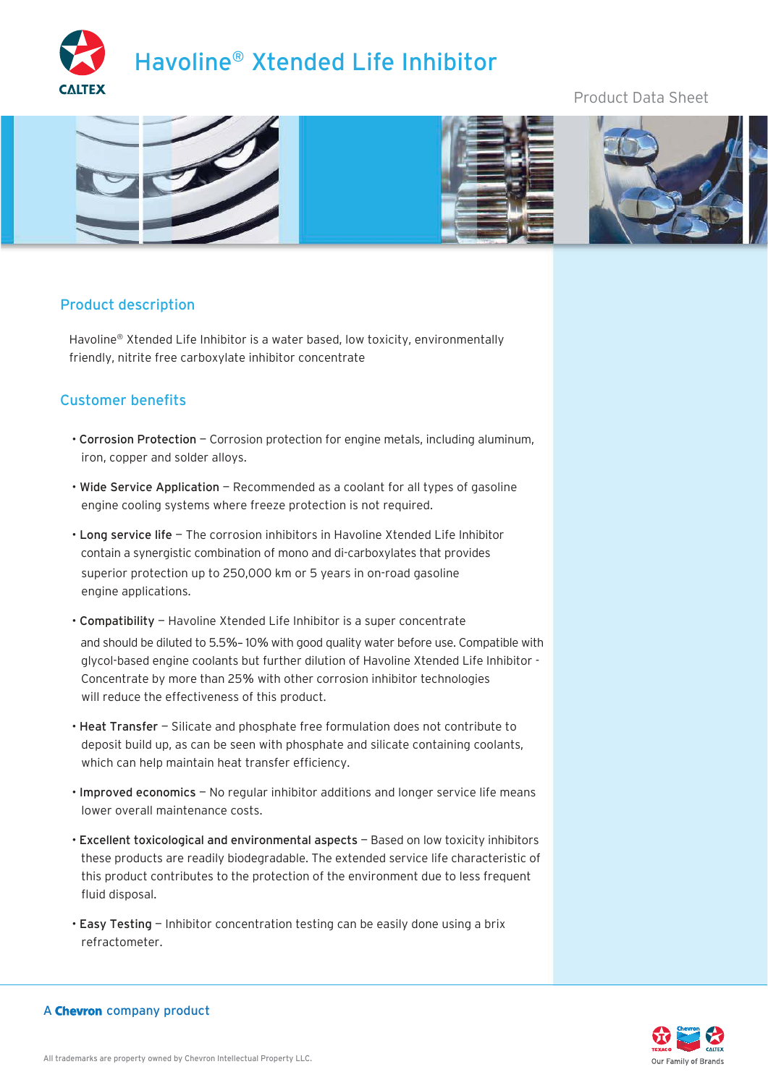

# Product Data Sheet



### Product description

Havoline® Xtended Life Inhibitor is a water based, low toxicity, environmentally friendly, nitrite free carboxylate inhibitor concentrate

### Customer benefits

- Corrosion Protection Corrosion protection for engine metals, including aluminum, iron, copper and solder alloys.
- Wide Service Application Recommended as a coolant for all types of gasoline engine cooling systems where freeze protection is not required.
- Long service life The corrosion inhibitors in Havoline Xtended Life Inhibitor contain a synergistic combination of mono and di-carboxylates that provides superior protection up to 250,000 km or 5 years in on-road gasoline engine applications.
- Compatibility Havoline Xtended Life Inhibitor is a super concentrate and should be diluted to 5.5%- 10% with good quality water before use. Compatible with glycol-based engine coolants but further dilution of Havoline Xtended Life Inhibitor - Concentrate by more than 25% with other corrosion inhibitor technologies will reduce the effectiveness of this product.
- Heat Transfer Silicate and phosphate free formulation does not contribute to deposit build up, as can be seen with phosphate and silicate containing coolants, which can help maintain heat transfer efficiency.
- Improved economics No regular inhibitor additions and longer service life means lower overall maintenance costs.
- Excellent toxicological and environmental aspects Based on low toxicity inhibitors these products are readily biodegradable. The extended service life characteristic of this product contributes to the protection of the environment due to less frequent fluid disposal.
- Easy Testing Inhibitor concentration testing can be easily done using a brix refractometer.



### A Chevron company product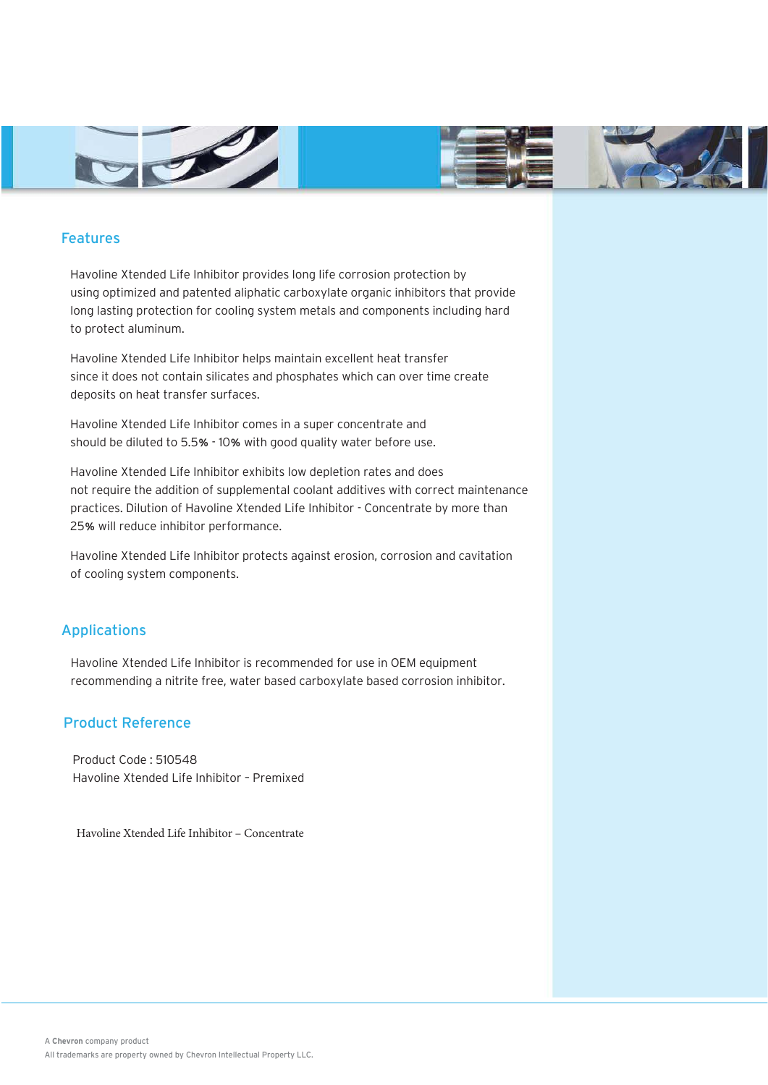





## Features

Havoline Xtended Life Inhibitor provides long life corrosion protection by using optimized and patented aliphatic carboxylate organic inhibitors that provide long lasting protection for cooling system metals and components including hard to protect aluminum.

Havoline Xtended Life Inhibitor helps maintain excellent heat transfer since it does not contain silicates and phosphates which can over time create deposits on heat transfer surfaces.

Havoline Xtended Life Inhibitor comes in a super concentrate and should be diluted to 5.5% - 10% with good quality water before use.

Havoline Xtended Life Inhibitor exhibits low depletion rates and does not require the addition of supplemental coolant additives with correct maintenance practices. Dilution of Havoline Xtended Life Inhibitor - Concentrate by more than <sup>25</sup>% will reduce inhibitor performance.

Havoline Xtended Life Inhibitor protects against erosion, corrosion and cavitation of cooling system components.

## Applications

Havoline Xtended Life Inhibitor is recommended for use in OEM equipment recommending a nitrite free, water based carboxylate based corrosion inhibitor.

### Product Reference

Product Code : 510548 Havoline Xtended Life Inhibitor – Premixed

Havoline Xtended Life Inhibitor – Concentrate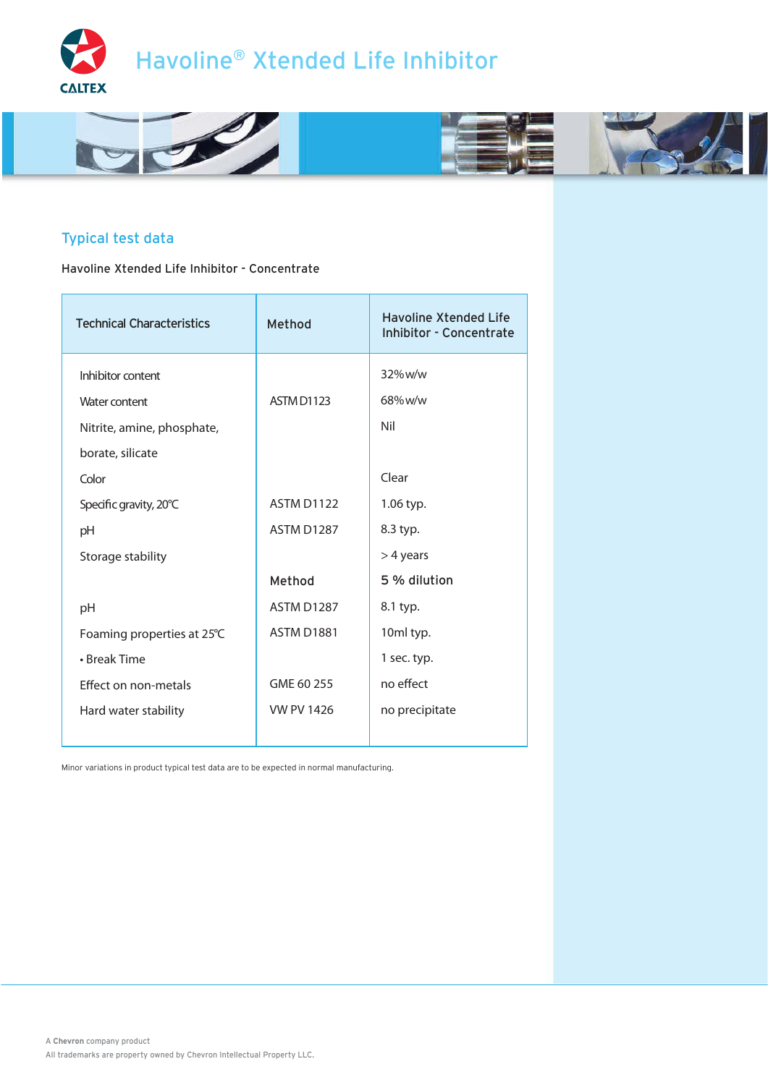



# Typical test data

Havoline Xtended Life Inhibitor - Concentrate

| <b>Technical Characteristics</b> | Method            | <b>Havoline Xtended Life</b><br><b>Inhibitor - Concentrate</b> |
|----------------------------------|-------------------|----------------------------------------------------------------|
| Inhibitor content                |                   | 32% w/w                                                        |
| Water content                    | ASTM D1123        | 68%w/w                                                         |
| Nitrite, amine, phosphate,       |                   | Nil                                                            |
| borate, silicate                 |                   |                                                                |
| Color                            |                   | Clear                                                          |
| Specific gravity, 20°C           | <b>ASTM D1122</b> | 1.06 typ.                                                      |
| pH                               | <b>ASTM D1287</b> | 8.3 typ.                                                       |
| Storage stability                |                   | $>$ 4 years                                                    |
|                                  | Method            | 5 % dilution                                                   |
| pH                               | <b>ASTM D1287</b> | 8.1 typ.                                                       |
| Foaming properties at 25℃        | <b>ASTM D1881</b> | 10ml typ.                                                      |
| • Break Time                     |                   | 1 sec. typ.                                                    |
| Effect on non-metals             | GME 60 255        | no effect                                                      |
| Hard water stability             | <b>VW PV 1426</b> | no precipitate                                                 |
|                                  |                   |                                                                |

Minor variations in product typical test data are to be expected in normal manufacturing.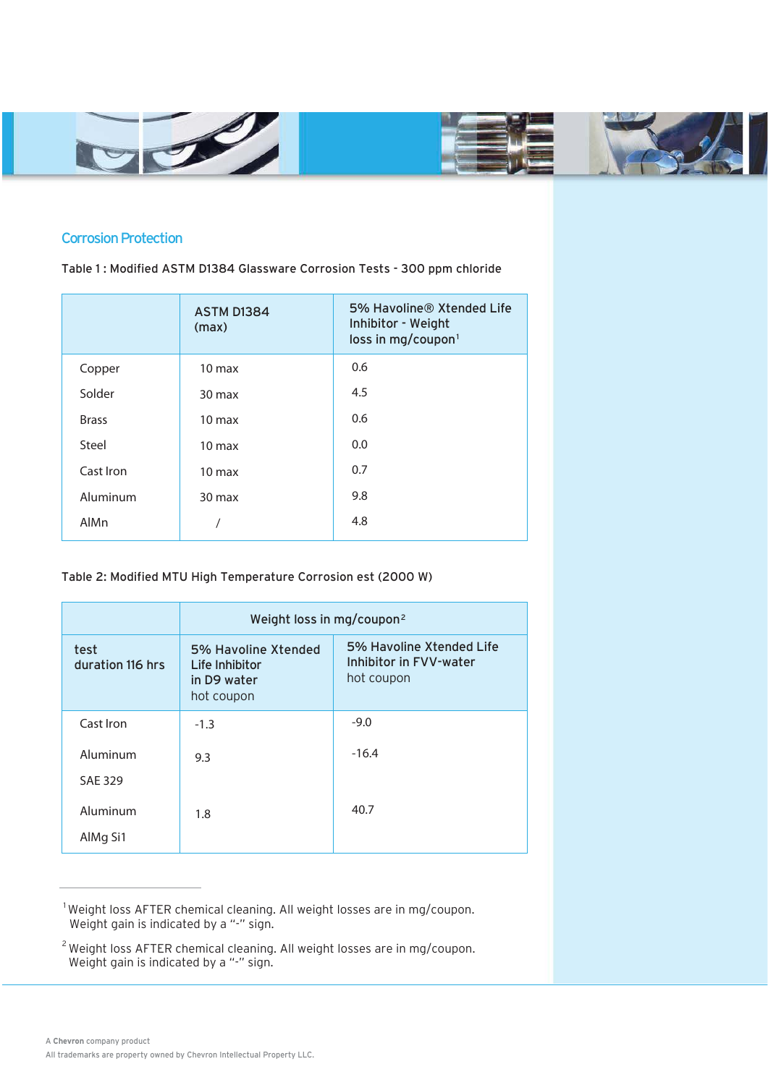





## Corrosion Protection

Table 1 : Modified ASTM D1384 Glassware Corrosion Tests - 300 ppm chloride

|              | <b>ASTM D1384</b><br>(max) | 5% Havoline® Xtended Life<br>Inhibitor - Weight<br>loss in mg/coupon <sup>1</sup> |
|--------------|----------------------------|-----------------------------------------------------------------------------------|
| Copper       | 10 <sub>max</sub>          | 0.6                                                                               |
| Solder       | $30 \text{ max}$           | 4.5                                                                               |
| <b>Brass</b> | $10 \text{ max}$           | 0.6                                                                               |
| Steel        | $10 \text{ max}$           | 0.0                                                                               |
| Cast Iron    | $10 \text{ max}$           | 0.7                                                                               |
| Aluminum     | $30 \text{ max}$           | 9.8                                                                               |
| AlMn         |                            | 4.8                                                                               |

### Table 2: Modified MTU High Temperature Corrosion est (2000 W)

|                            | Weight loss in mg/coupon <sup>2</sup>                              |                                                                  |  |
|----------------------------|--------------------------------------------------------------------|------------------------------------------------------------------|--|
| test<br>duration 116 hrs   | 5% Havoline Xtended<br>Life Inhibitor<br>in D9 water<br>hot coupon | 5% Havoline Xtended Life<br>Inhibitor in FVV-water<br>hot coupon |  |
| Cast Iron                  | $-1.3$                                                             | $-9.0$                                                           |  |
| Aluminum<br><b>SAE 329</b> | 9.3                                                                | $-16.4$                                                          |  |
| Aluminum<br>AlMg Si1       | 1.8                                                                | 40.7                                                             |  |

 $1$ Weight loss AFTER chemical cleaning. All weight losses are in mg/coupon. Weight gain is indicated by a "-" sign.

 $^2$ Weight loss AFTER chemical cleaning. All weight losses are in mg/coupon. Weight gain is indicated by a "-" sign.

I